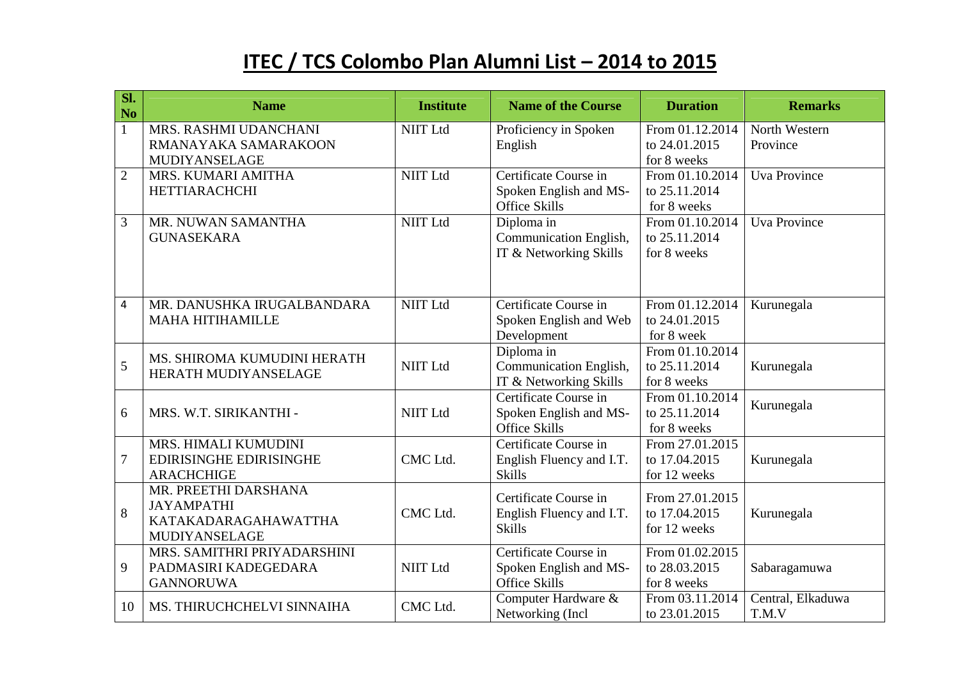## **ITEC / TCS Colombo Plan Alumni List – 2014 to 2015**

| SI.<br>N <sub>o</sub> | <b>Name</b>                               | <b>Institute</b> | <b>Name of the Course</b>                        | <b>Duration</b>                     | <b>Remarks</b>      |
|-----------------------|-------------------------------------------|------------------|--------------------------------------------------|-------------------------------------|---------------------|
| $\mathbf{1}$          | MRS. RASHMI UDANCHANI                     | <b>NIIT Ltd</b>  | Proficiency in Spoken                            | From 01.12.2014                     | North Western       |
|                       | RMANAYAKA SAMARAKOON                      |                  | English                                          | to 24.01.2015                       | Province            |
|                       | MUDIYANSELAGE                             |                  |                                                  | for 8 weeks                         |                     |
| $\overline{2}$        | MRS. KUMARI AMITHA                        | <b>NIIT Ltd</b>  | Certificate Course in                            | From 01.10.2014                     | <b>Uva Province</b> |
|                       | <b>HETTIARACHCHI</b>                      |                  | Spoken English and MS-                           | to 25.11.2014                       |                     |
| $\overline{3}$        |                                           | <b>NIIT Ltd</b>  | Office Skills                                    | for 8 weeks<br>From 01.10.2014      | <b>Uva Province</b> |
|                       | MR. NUWAN SAMANTHA                        |                  | Diploma in                                       | to 25.11.2014                       |                     |
|                       | <b>GUNASEKARA</b>                         |                  | Communication English,<br>IT & Networking Skills | for 8 weeks                         |                     |
|                       |                                           |                  |                                                  |                                     |                     |
|                       |                                           |                  |                                                  |                                     |                     |
| $\overline{4}$        | MR. DANUSHKA IRUGALBANDARA                | <b>NIIT Ltd</b>  | Certificate Course in                            | From 01.12.2014                     | Kurunegala          |
|                       | <b>MAHA HITIHAMILLE</b>                   |                  | Spoken English and Web                           | to 24.01.2015                       |                     |
|                       |                                           |                  | Development                                      | for 8 week                          |                     |
|                       | MS. SHIROMA KUMUDINI HERATH               |                  | Diploma in                                       | From 01.10.2014                     |                     |
| 5                     | HERATH MUDIYANSELAGE                      | <b>NIIT Ltd</b>  | Communication English,                           | to 25.11.2014                       | Kurunegala          |
|                       |                                           |                  | IT & Networking Skills                           | for 8 weeks                         |                     |
|                       | MRS. W.T. SIRIKANTHI -                    |                  | Certificate Course in                            | $\overline{\text{From }01.10.2014}$ | Kurunegala          |
| 6                     |                                           | <b>NIIT Ltd</b>  | Spoken English and MS-                           | to 25.11.2014                       |                     |
|                       |                                           |                  | <b>Office Skills</b>                             | for 8 weeks                         |                     |
|                       | MRS. HIMALI KUMUDINI                      |                  | Certificate Course in                            | From 27.01.2015                     |                     |
| $\tau$                | <b>EDIRISINGHE EDIRISINGHE</b>            | CMC Ltd.         | English Fluency and I.T.                         | to 17.04.2015                       | Kurunegala          |
|                       | <b>ARACHCHIGE</b>                         |                  | <b>Skills</b>                                    | for 12 weeks                        |                     |
|                       | MR. PREETHI DARSHANA                      |                  | Certificate Course in                            | From 27.01.2015                     |                     |
| 8                     | <b>JAYAMPATHI</b><br>KATAKADARAGAHAWATTHA | CMC Ltd.         | English Fluency and I.T.                         | to 17.04.2015                       | Kurunegala          |
|                       | <b>MUDIYANSELAGE</b>                      |                  | <b>Skills</b>                                    | for 12 weeks                        |                     |
|                       | MRS. SAMITHRI PRIYADARSHINI               |                  | Certificate Course in                            | From 01.02.2015                     |                     |
| 9                     | PADMASIRI KADEGEDARA                      | <b>NIIT Ltd</b>  | Spoken English and MS-                           | to 28.03.2015                       | Sabaragamuwa        |
|                       | <b>GANNORUWA</b>                          |                  | <b>Office Skills</b>                             | for 8 weeks                         |                     |
|                       |                                           |                  | Computer Hardware &                              | From 03.11.2014                     | Central, Elkaduwa   |
| 10                    | MS. THIRUCHCHELVI SINNAIHA                | CMC Ltd.         | Networking (Incl.                                | to 23.01.2015                       | T.M.V               |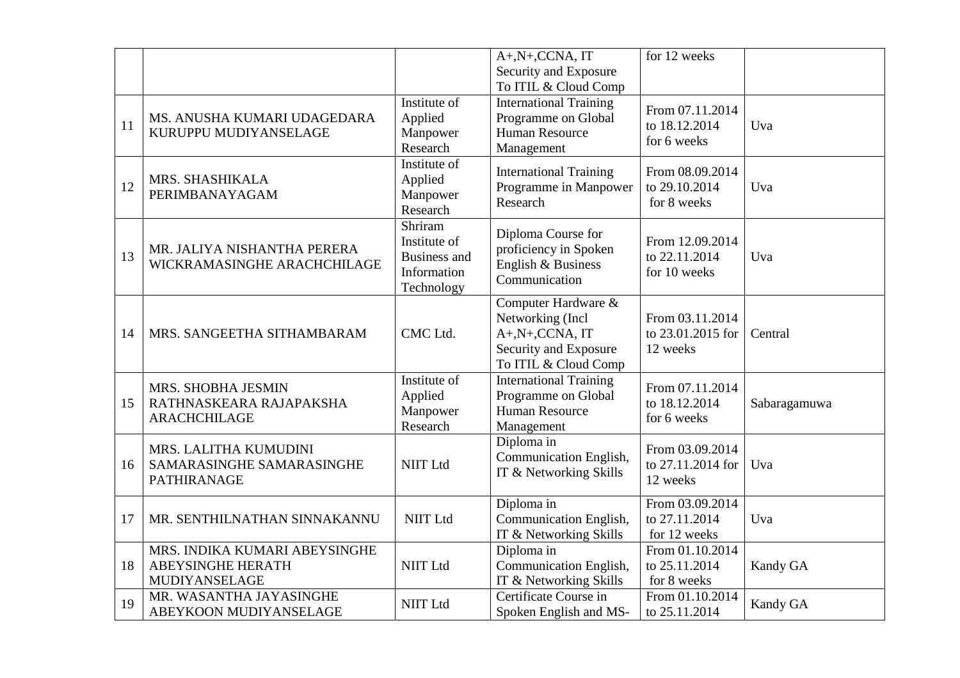|    |                                                                            |                                                                             | $A+, N+, CCNA, \overline{IT}$                                                                                       | for 12 weeks                                     |              |
|----|----------------------------------------------------------------------------|-----------------------------------------------------------------------------|---------------------------------------------------------------------------------------------------------------------|--------------------------------------------------|--------------|
|    |                                                                            |                                                                             | Security and Exposure                                                                                               |                                                  |              |
| 11 | MS. ANUSHA KUMARI UDAGEDARA<br>KURUPPU MUDIYANSELAGE                       | Institute of<br>Applied<br>Manpower<br>Research                             | To ITIL & Cloud Comp<br><b>International Training</b><br>Programme on Global<br><b>Human Resource</b><br>Management | From 07.11.2014<br>to 18.12.2014<br>for 6 weeks  | Uva          |
| 12 | MRS. SHASHIKALA<br>PERIMBANAYAGAM                                          | Institute of<br>Applied<br>Manpower<br>Research                             | <b>International Training</b><br>Programme in Manpower<br>Research                                                  | From 08.09.2014<br>to 29.10.2014<br>for 8 weeks  | Uva          |
| 13 | MR. JALIYA NISHANTHA PERERA<br>WICKRAMASINGHE ARACHCHILAGE                 | Shriram<br>Institute of<br><b>Business and</b><br>Information<br>Technology | Diploma Course for<br>proficiency in Spoken<br>English & Business<br>Communication                                  | From 12.09.2014<br>to 22.11.2014<br>for 10 weeks | Uva          |
| 14 | MRS. SANGEETHA SITHAMBARAM                                                 | CMC Ltd.                                                                    | Computer Hardware &<br>Networking (Incl<br>A+,N+,CCNA, IT<br>Security and Exposure<br>To ITIL & Cloud Comp          | From 03.11.2014<br>to 23.01.2015 for<br>12 weeks | Central      |
| 15 | MRS. SHOBHA JESMIN<br>RATHNASKEARA RAJAPAKSHA<br><b>ARACHCHILAGE</b>       | Institute of<br>Applied<br>Manpower<br>Research                             | <b>International Training</b><br>Programme on Global<br><b>Human Resource</b><br>Management                         | From 07.11.2014<br>to 18.12.2014<br>for 6 weeks  | Sabaragamuwa |
| 16 | MRS. LALITHA KUMUDINI<br>SAMARASINGHE SAMARASINGHE<br><b>PATHIRANAGE</b>   | <b>NIIT Ltd</b>                                                             | Diploma in<br>Communication English,<br>IT & Networking Skills                                                      | From 03.09.2014<br>to 27.11.2014 for<br>12 weeks | Uva          |
| 17 | MR. SENTHILNATHAN SINNAKANNU                                               | <b>NIIT Ltd</b>                                                             | Diploma in<br>Communication English,<br>IT & Networking Skills                                                      | From 03.09.2014<br>to 27.11.2014<br>for 12 weeks | Uva          |
| 18 | MRS. INDIKA KUMARI ABEYSINGHE<br><b>ABEYSINGHE HERATH</b><br>MUDIYANSELAGE | <b>NIIT Ltd</b>                                                             | Diploma in<br>Communication English,<br>IT & Networking Skills                                                      | From 01.10.2014<br>to 25.11.2014<br>for 8 weeks  | Kandy GA     |
| 19 | MR. WASANTHA JAYASINGHE<br>ABEYKOON MUDIYANSELAGE                          | <b>NIIT Ltd</b>                                                             | Certificate Course in<br>Spoken English and MS-                                                                     | From 01.10.2014<br>to 25.11.2014                 | Kandy GA     |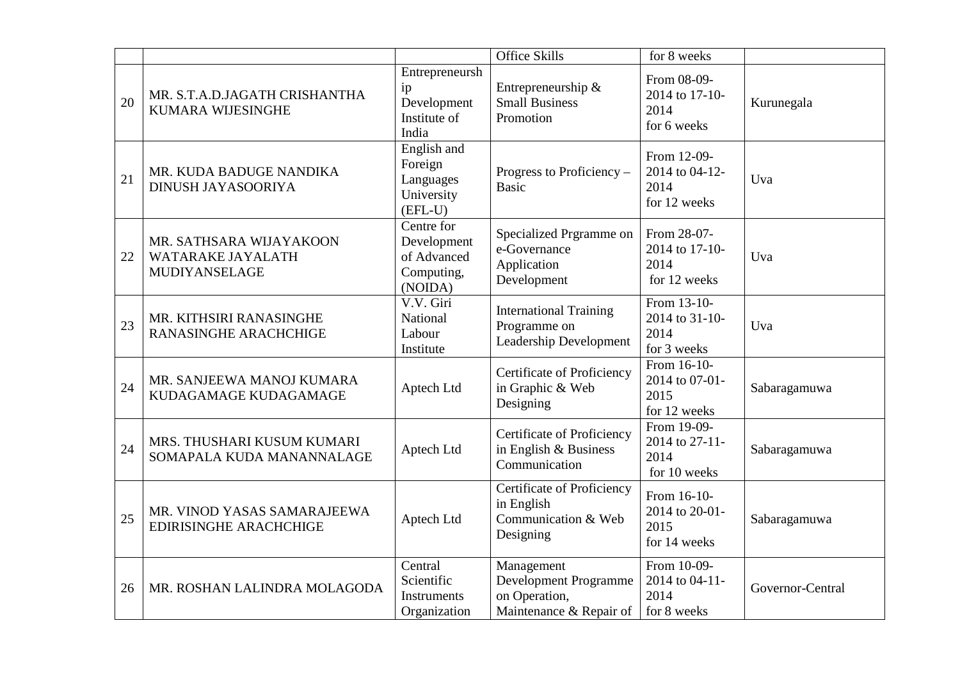|    |                                                               |                                                                   | <b>Office Skills</b>                                                            | for 8 weeks                                           |                  |
|----|---------------------------------------------------------------|-------------------------------------------------------------------|---------------------------------------------------------------------------------|-------------------------------------------------------|------------------|
| 20 | MR. S.T.A.D.JAGATH CRISHANTHA<br><b>KUMARA WIJESINGHE</b>     | Entrepreneursh<br>ip<br>Development<br>Institute of<br>India      | Entrepreneurship &<br><b>Small Business</b><br>Promotion                        | From 08-09-<br>2014 to 17-10-<br>2014<br>for 6 weeks  | Kurunegala       |
| 21 | MR. KUDA BADUGE NANDIKA<br>DINUSH JAYASOORIYA                 | English and<br>Foreign<br>Languages<br>University<br>$(EFL-U)$    | Progress to Proficiency –<br><b>Basic</b>                                       | From 12-09-<br>2014 to 04-12-<br>2014<br>for 12 weeks | Uva              |
| 22 | MR. SATHSARA WIJAYAKOON<br>WATARAKE JAYALATH<br>MUDIYANSELAGE | Centre for<br>Development<br>of Advanced<br>Computing,<br>(NOIDA) | Specialized Prgramme on<br>e-Governance<br>Application<br>Development           | From 28-07-<br>2014 to 17-10-<br>2014<br>for 12 weeks | Uva              |
| 23 | MR. KITHSIRI RANASINGHE<br><b>RANASINGHE ARACHCHIGE</b>       | V.V. Giri<br>National<br>Labour<br>Institute                      | <b>International Training</b><br>Programme on<br>Leadership Development         | From 13-10-<br>2014 to 31-10-<br>2014<br>for 3 weeks  | Uva              |
| 24 | MR. SANJEEWA MANOJ KUMARA<br>KUDAGAMAGE KUDAGAMAGE            | Aptech Ltd                                                        | Certificate of Proficiency<br>in Graphic & Web<br>Designing                     | From 16-10-<br>2014 to 07-01-<br>2015<br>for 12 weeks | Sabaragamuwa     |
| 24 | MRS. THUSHARI KUSUM KUMARI<br>SOMAPALA KUDA MANANNALAGE       | Aptech Ltd                                                        | Certificate of Proficiency<br>in English $&$ Business<br>Communication          | From 19-09-<br>2014 to 27-11-<br>2014<br>for 10 weeks | Sabaragamuwa     |
| 25 | MR. VINOD YASAS SAMARAJEEWA<br><b>EDIRISINGHE ARACHCHIGE</b>  | Aptech Ltd                                                        | Certificate of Proficiency<br>in English<br>Communication & Web<br>Designing    | From 16-10-<br>2014 to 20-01-<br>2015<br>for 14 weeks | Sabaragamuwa     |
| 26 | MR. ROSHAN LALINDRA MOLAGODA                                  | Central<br>Scientific<br>Instruments<br>Organization              | Management<br>Development Programme<br>on Operation,<br>Maintenance & Repair of | From 10-09-<br>2014 to 04-11-<br>2014<br>for 8 weeks  | Governor-Central |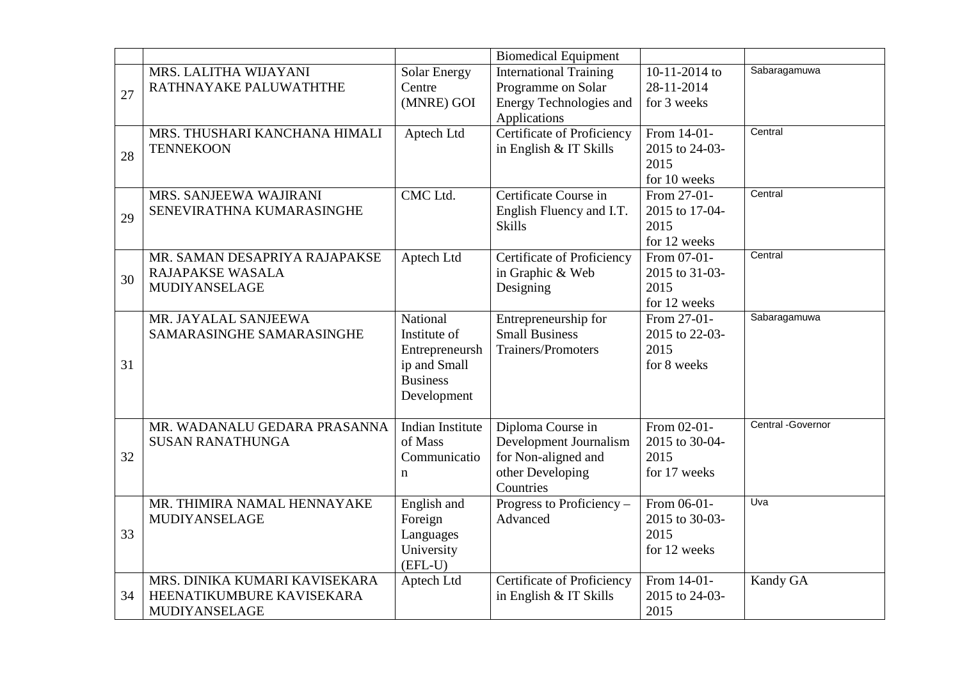|    |                                                                             |                                                                                              | <b>Biomedical Equipment</b>                                                                         |                                                       |                   |
|----|-----------------------------------------------------------------------------|----------------------------------------------------------------------------------------------|-----------------------------------------------------------------------------------------------------|-------------------------------------------------------|-------------------|
| 27 | MRS. LALITHA WIJAYANI<br>RATHNAYAKE PALUWATHTHE                             | Solar Energy<br>Centre<br>(MNRE) GOI                                                         | <b>International Training</b><br>Programme on Solar<br>Energy Technologies and<br>Applications      | 10-11-2014 to<br>28-11-2014<br>for 3 weeks            | Sabaragamuwa      |
| 28 | MRS. THUSHARI KANCHANA HIMALI<br><b>TENNEKOON</b>                           | Aptech Ltd                                                                                   | Certificate of Proficiency<br>in English & IT Skills                                                | From 14-01-<br>2015 to 24-03-<br>2015<br>for 10 weeks | Central           |
| 29 | MRS. SANJEEWA WAJIRANI<br>SENEVIRATHNA KUMARASINGHE                         | CMC Ltd.                                                                                     | Certificate Course in<br>English Fluency and I.T.<br><b>Skills</b>                                  | From 27-01-<br>2015 to 17-04-<br>2015<br>for 12 weeks | Central           |
| 30 | MR. SAMAN DESAPRIYA RAJAPAKSE<br>RAJAPAKSE WASALA<br><b>MUDIYANSELAGE</b>   | Aptech Ltd                                                                                   | Certificate of Proficiency<br>in Graphic & Web<br>Designing                                         | From 07-01-<br>2015 to 31-03-<br>2015<br>for 12 weeks | Central           |
| 31 | MR. JAYALAL SANJEEWA<br>SAMARASINGHE SAMARASINGHE                           | National<br>Institute of<br>Entrepreneursh<br>ip and Small<br><b>Business</b><br>Development | Entrepreneurship for<br><b>Small Business</b><br><b>Trainers/Promoters</b>                          | From 27-01-<br>2015 to 22-03-<br>2015<br>for 8 weeks  | Sabaragamuwa      |
| 32 | MR. WADANALU GEDARA PRASANNA<br><b>SUSAN RANATHUNGA</b>                     | Indian Institute<br>of Mass<br>Communicatio<br>$\mathbf n$                                   | Diploma Course in<br>Development Journalism<br>for Non-aligned and<br>other Developing<br>Countries | From 02-01-<br>2015 to 30-04-<br>2015<br>for 17 weeks | Central -Governor |
| 33 | MR. THIMIRA NAMAL HENNAYAKE<br>MUDIYANSELAGE                                | English and<br>Foreign<br>Languages<br>University<br>$(EFL-U)$                               | Progress to Proficiency -<br>Advanced                                                               | From 06-01-<br>2015 to 30-03-<br>2015<br>for 12 weeks | Uva               |
| 34 | MRS. DINIKA KUMARI KAVISEKARA<br>HEENATIKUMBURE KAVISEKARA<br>MUDIYANSELAGE | Aptech Ltd                                                                                   | Certificate of Proficiency<br>in English & IT Skills                                                | From 14-01-<br>2015 to 24-03-<br>2015                 | Kandy GA          |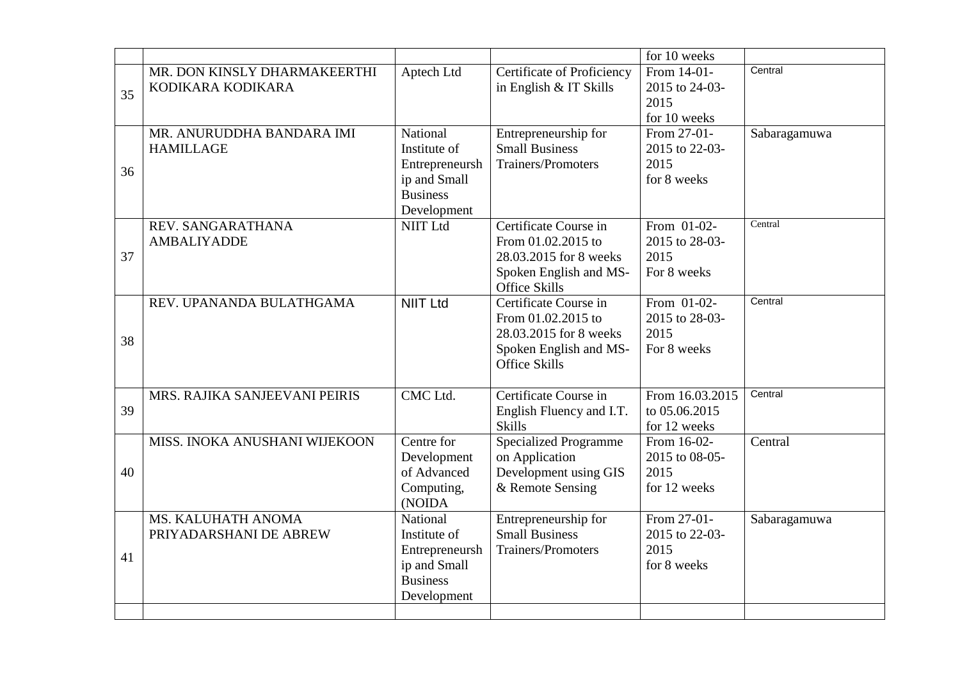|    |                               |                 |                              | for 10 weeks    |              |
|----|-------------------------------|-----------------|------------------------------|-----------------|--------------|
|    | MR. DON KINSLY DHARMAKEERTHI  | Aptech Ltd      | Certificate of Proficiency   | From 14-01-     | Central      |
|    | KODIKARA KODIKARA             |                 | in English & IT Skills       | 2015 to 24-03-  |              |
| 35 |                               |                 |                              | 2015            |              |
|    |                               |                 |                              | for 10 weeks    |              |
|    | MR. ANURUDDHA BANDARA IMI     | National        | Entrepreneurship for         | From 27-01-     | Sabaragamuwa |
|    | <b>HAMILLAGE</b>              | Institute of    | <b>Small Business</b>        | 2015 to 22-03-  |              |
|    |                               | Entrepreneursh  | <b>Trainers/Promoters</b>    | 2015            |              |
| 36 |                               | ip and Small    |                              | for 8 weeks     |              |
|    |                               | <b>Business</b> |                              |                 |              |
|    |                               | Development     |                              |                 |              |
|    | REV. SANGARATHANA             | <b>NIIT Ltd</b> | Certificate Course in        | From 01-02-     | Central      |
|    | <b>AMBALIYADDE</b>            |                 | From 01.02.2015 to           | 2015 to 28-03-  |              |
| 37 |                               |                 | 28.03.2015 for 8 weeks       | 2015            |              |
|    |                               |                 | Spoken English and MS-       | For 8 weeks     |              |
|    |                               |                 | <b>Office Skills</b>         |                 |              |
|    | REV. UPANANDA BULATHGAMA      | <b>NIIT Ltd</b> | Certificate Course in        | From 01-02-     | Central      |
|    |                               |                 | From 01.02.2015 to           | 2015 to 28-03-  |              |
|    |                               |                 | 28.03.2015 for 8 weeks       | 2015            |              |
| 38 |                               |                 | Spoken English and MS-       | For 8 weeks     |              |
|    |                               |                 | <b>Office Skills</b>         |                 |              |
|    |                               |                 |                              |                 |              |
|    | MRS. RAJIKA SANJEEVANI PEIRIS | CMC Ltd.        | Certificate Course in        | From 16.03.2015 | Central      |
| 39 |                               |                 | English Fluency and I.T.     | to 05.06.2015   |              |
|    |                               |                 | <b>Skills</b>                | for 12 weeks    |              |
|    | MISS. INOKA ANUSHANI WIJEKOON | Centre for      | <b>Specialized Programme</b> | From 16-02-     | Central      |
|    |                               | Development     | on Application               | 2015 to 08-05-  |              |
| 40 |                               | of Advanced     | Development using GIS        | 2015            |              |
|    |                               | Computing,      | & Remote Sensing             | for 12 weeks    |              |
|    |                               | (NOIDA          |                              |                 |              |
|    | MS. KALUHATH ANOMA            | National        | Entrepreneurship for         | From 27-01-     | Sabaragamuwa |
|    | PRIYADARSHANI DE ABREW        | Institute of    | <b>Small Business</b>        | 2015 to 22-03-  |              |
|    |                               | Entrepreneursh  | Trainers/Promoters           | 2015            |              |
| 41 |                               | ip and Small    |                              | for 8 weeks     |              |
|    |                               | <b>Business</b> |                              |                 |              |
|    |                               | Development     |                              |                 |              |
|    |                               |                 |                              |                 |              |